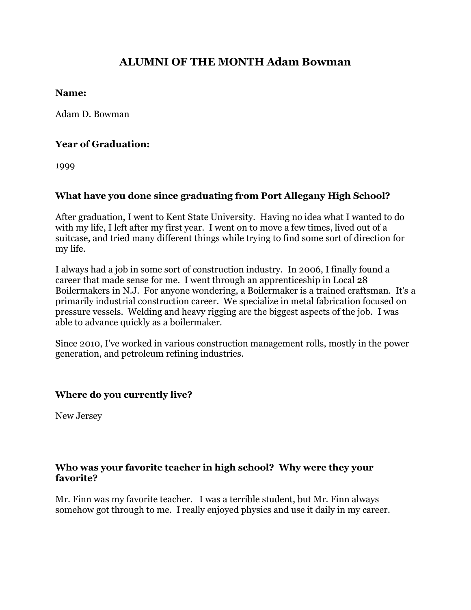# **ALUMNI OF THE MONTH Adam Bowman**

#### **Name:**

Adam D. Bowman

# **Year of Graduation:**

1999

# **What have you done since graduating from Port Allegany High School?**

After graduation, I went to Kent State University. Having no idea what I wanted to do with my life, I left after my first year. I went on to move a few times, lived out of a suitcase, and tried many different things while trying to find some sort of direction for my life.

I always had a job in some sort of construction industry. In 2006, I finally found a career that made sense for me. I went through an apprenticeship in Local 28 Boilermakers in N.J. For anyone wondering, a Boilermaker is a trained craftsman. It's a primarily industrial construction career. We specialize in metal fabrication focused on pressure vessels. Welding and heavy rigging are the biggest aspects of the job. I was able to advance quickly as a boilermaker.

Since 2010, I've worked in various construction management rolls, mostly in the power generation, and petroleum refining industries.

## **Where do you currently live?**

New Jersey

## **Who was your favorite teacher in high school? Why were they your favorite?**

Mr. Finn was my favorite teacher. I was a terrible student, but Mr. Finn always somehow got through to me. I really enjoyed physics and use it daily in my career.